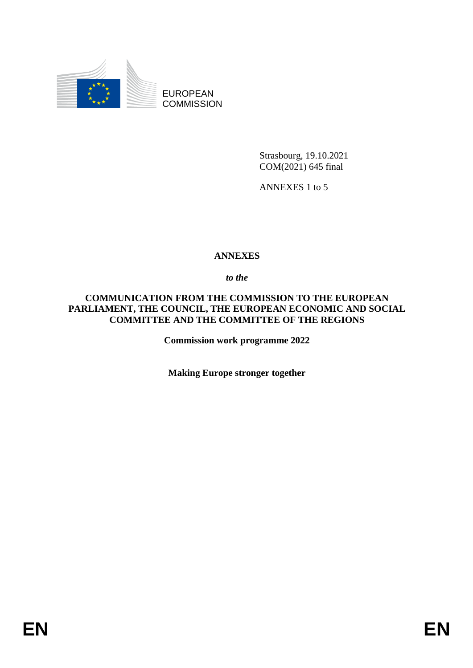

EUROPEAN **COMMISSION** 

> Strasbourg, 19.10.2021 COM(2021) 645 final

ANNEXES 1 to 5

#### **ANNEXES**

*to the* 

#### **COMMUNICATION FROM THE COMMISSION TO THE EUROPEAN PARLIAMENT, THE COUNCIL, THE EUROPEAN ECONOMIC AND SOCIAL COMMITTEE AND THE COMMITTEE OF THE REGIONS**

**Commission work programme 2022** 

**Making Europe stronger together**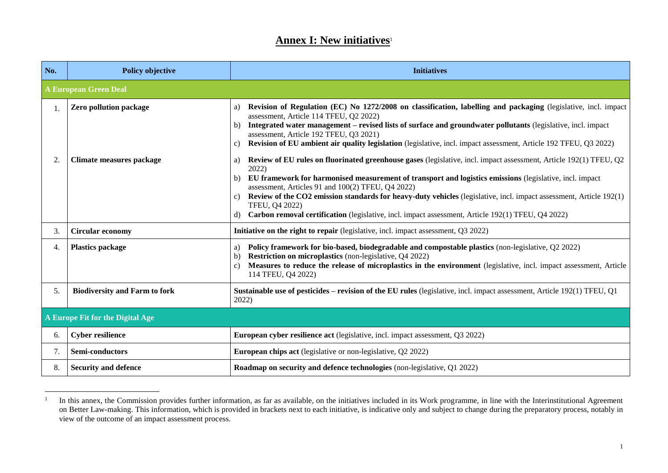#### **Annex I: New initiatives**<sup>1</sup>

| No. | <b>Policy objective</b>              | <b>Initiatives</b>                                                                                                                                                                                                                                                                                                                                                                                                                                                                                                                                              |  |
|-----|--------------------------------------|-----------------------------------------------------------------------------------------------------------------------------------------------------------------------------------------------------------------------------------------------------------------------------------------------------------------------------------------------------------------------------------------------------------------------------------------------------------------------------------------------------------------------------------------------------------------|--|
|     | <b>A European Green Deal</b>         |                                                                                                                                                                                                                                                                                                                                                                                                                                                                                                                                                                 |  |
| 1.  | Zero pollution package               | Revision of Regulation (EC) No 1272/2008 on classification, labelling and packaging (legislative, incl. impact<br>a)<br>assessment, Article 114 TFEU, Q2 2022)<br>Integrated water management - revised lists of surface and groundwater pollutants (legislative, incl. impact<br>b)<br>assessment, Article 192 TFEU, Q3 2021)<br>Revision of EU ambient air quality legislation (legislative, incl. impact assessment, Article 192 TFEU, Q3 2022)<br>C)                                                                                                        |  |
| 2.  | Climate measures package             | Review of EU rules on fluorinated greenhouse gases (legislative, incl. impact assessment, Article 192(1) TFEU, Q2<br>a)<br>2022)<br>EU framework for harmonised measurement of transport and logistics emissions (legislative, incl. impact<br>b)<br>assessment, Articles 91 and 100(2) TFEU, Q4 2022)<br>Review of the CO2 emission standards for heavy-duty vehicles (legislative, incl. impact assessment, Article 192(1)<br>C)<br>TFEU, Q4 2022)<br>Carbon removal certification (legislative, incl. impact assessment, Article 192(1) TFEU, Q4 2022)<br>d) |  |
| 3.  | <b>Circular economy</b>              | Initiative on the right to repair (legislative, incl. impact assessment, Q3 2022)                                                                                                                                                                                                                                                                                                                                                                                                                                                                               |  |
| 4.  | <b>Plastics package</b>              | Policy framework for bio-based, biodegradable and compostable plastics (non-legislative, Q2 2022)<br>a)<br><b>Restriction on microplastics</b> (non-legislative, Q4 2022)<br>$\mathbf{b}$<br>Measures to reduce the release of microplastics in the environment (legislative, incl. impact assessment, Article<br>$\mathbf{c}$<br>114 TFEU, Q4 2022)                                                                                                                                                                                                            |  |
| 5.  | <b>Biodiversity and Farm to fork</b> | <b>Sustainable use of pesticides – revision of the EU rules</b> (legislative, incl. impact assessment, Article 192(1) TFEU, Q1<br>2022)                                                                                                                                                                                                                                                                                                                                                                                                                         |  |
|     | A Europe Fit for the Digital Age     |                                                                                                                                                                                                                                                                                                                                                                                                                                                                                                                                                                 |  |
| 6.  | <b>Cyber resilience</b>              | European cyber resilience act (legislative, incl. impact assessment, Q3 2022)                                                                                                                                                                                                                                                                                                                                                                                                                                                                                   |  |
| 7.  | Semi-conductors                      | <b>European chips act</b> (legislative or non-legislative, Q2 2022)                                                                                                                                                                                                                                                                                                                                                                                                                                                                                             |  |
| 8.  | <b>Security and defence</b>          | Roadmap on security and defence technologies (non-legislative, Q1 2022)                                                                                                                                                                                                                                                                                                                                                                                                                                                                                         |  |

<sup>1</sup> In this annex, the Commission provides further information, as far as available, on the initiatives included in its Work programme, in line with the Interinstitutional Agreement on Better Law-making. This information, which is provided in brackets next to each initiative, is indicative only and subject to change during the preparatory process, notably in view of the outcome of an impact assessment process.

 $\overline{a}$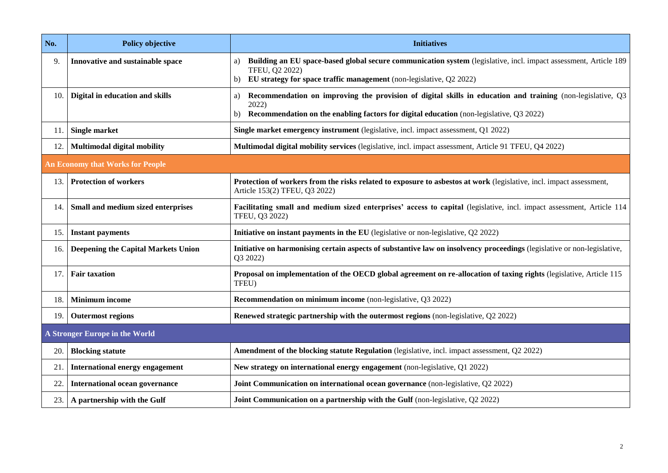| No. | <b>Policy objective</b>                    | <b>Initiatives</b>                                                                                                                                                                                                         |
|-----|--------------------------------------------|----------------------------------------------------------------------------------------------------------------------------------------------------------------------------------------------------------------------------|
| 9.  | Innovative and sustainable space           | Building an EU space-based global secure communication system (legislative, incl. impact assessment, Article 189<br>a)<br>TFEU, Q2 2022)<br>EU strategy for space traffic management (non-legislative, $Q2 2022$ )<br>b)   |
| 10. | Digital in education and skills            | Recommendation on improving the provision of digital skills in education and training (non-legislative, Q3<br>a)<br>2022)<br>Recommendation on the enabling factors for digital education (non-legislative, Q3 2022)<br>b) |
| 11. | <b>Single market</b>                       | Single market emergency instrument (legislative, incl. impact assessment, Q1 2022)                                                                                                                                         |
| 12. | Multimodal digital mobility                | Multimodal digital mobility services (legislative, incl. impact assessment, Article 91 TFEU, Q4 2022)                                                                                                                      |
|     | <b>An Economy that Works for People</b>    |                                                                                                                                                                                                                            |
| 13. | <b>Protection of workers</b>               | Protection of workers from the risks related to exposure to asbestos at work (legislative, incl. impact assessment,<br>Article 153(2) TFEU, Q3 2022)                                                                       |
| 14. | Small and medium sized enterprises         | Facilitating small and medium sized enterprises' access to capital (legislative, incl. impact assessment, Article 114<br>TFEU, Q3 2022)                                                                                    |
| 15. | <b>Instant payments</b>                    | Initiative on instant payments in the EU (legislative or non-legislative, Q2 2022)                                                                                                                                         |
| 16. | <b>Deepening the Capital Markets Union</b> | Initiative on harmonising certain aspects of substantive law on insolvency proceedings (legislative or non-legislative,<br>Q3 2022)                                                                                        |
| 17. | <b>Fair taxation</b>                       | Proposal on implementation of the OECD global agreement on re-allocation of taxing rights (legislative, Article 115<br>TFEU)                                                                                               |
| 18. | <b>Minimum</b> income                      | Recommendation on minimum income (non-legislative, Q3 2022)                                                                                                                                                                |
| 19. | <b>Outermost regions</b>                   | Renewed strategic partnership with the outermost regions (non-legislative, Q2 2022)                                                                                                                                        |
|     | A Stronger Europe in the World             |                                                                                                                                                                                                                            |
| 20. | <b>Blocking statute</b>                    | Amendment of the blocking statute Regulation (legislative, incl. impact assessment, Q2 2022)                                                                                                                               |
| 21. | <b>International energy engagement</b>     | New strategy on international energy engagement (non-legislative, Q1 2022)                                                                                                                                                 |
| 22. | <b>International ocean governance</b>      | Joint Communication on international ocean governance (non-legislative, Q2 2022)                                                                                                                                           |
| 23. | A partnership with the Gulf                | Joint Communication on a partnership with the Gulf (non-legislative, Q2 2022)                                                                                                                                              |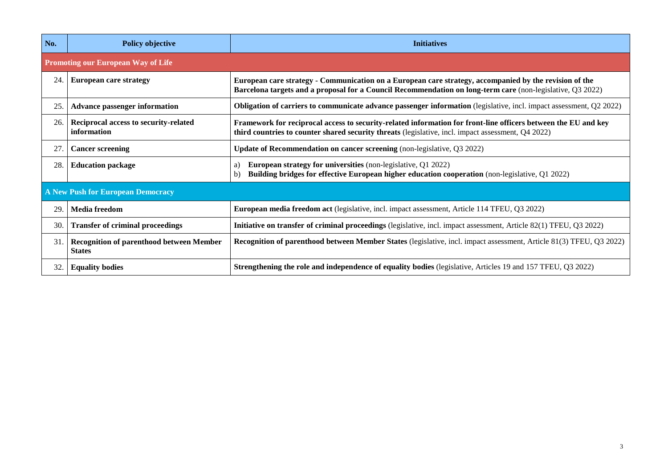| No. | <b>Policy objective</b>                                          | <b>Initiatives</b>                                                                                                                                                                                                   |
|-----|------------------------------------------------------------------|----------------------------------------------------------------------------------------------------------------------------------------------------------------------------------------------------------------------|
|     | <b>Promoting our European Way of Life</b>                        |                                                                                                                                                                                                                      |
| 24. | <b>European care strategy</b>                                    | European care strategy - Communication on a European care strategy, accompanied by the revision of the<br>Barcelona targets and a proposal for a Council Recommendation on long-term care (non-legislative, Q3 2022) |
| 25. | <b>Advance passenger information</b>                             | Obligation of carriers to communicate advance passenger information (legislative, incl. impact assessment, Q2 2022)                                                                                                  |
| 26. | Reciprocal access to security-related<br>information             | Framework for reciprocal access to security-related information for front-line officers between the EU and key<br>third countries to counter shared security threats (legislative, incl. impact assessment, Q4 2022) |
| 27. | <b>Cancer screening</b>                                          | Update of Recommendation on cancer screening (non-legislative, Q3 2022)                                                                                                                                              |
| 28. | <b>Education package</b>                                         | <b>European strategy for universities</b> (non-legislative, Q1 2022)<br>a)<br>Building bridges for effective European higher education cooperation (non-legislative, Q1 2022)<br>$\mathbf{b}$                        |
|     | A New Push for European Democracy                                |                                                                                                                                                                                                                      |
| 29  | <b>Media freedom</b>                                             | European media freedom act (legislative, incl. impact assessment, Article 114 TFEU, Q3 2022)                                                                                                                         |
| 30. | <b>Transfer of criminal proceedings</b>                          | Initiative on transfer of criminal proceedings (legislative, incl. impact assessment, Article 82(1) TFEU, Q3 2022)                                                                                                   |
| 31. | <b>Recognition of parenthood between Member</b><br><b>States</b> | Recognition of parenthood between Member States (legislative, incl. impact assessment, Article 81(3) TFEU, Q3 2022)                                                                                                  |
| 32. | <b>Equality bodies</b>                                           | <b>Strengthening the role and independence of equality bodies</b> (legislative, Articles 19 and 157 TFEU, Q3 2022)                                                                                                   |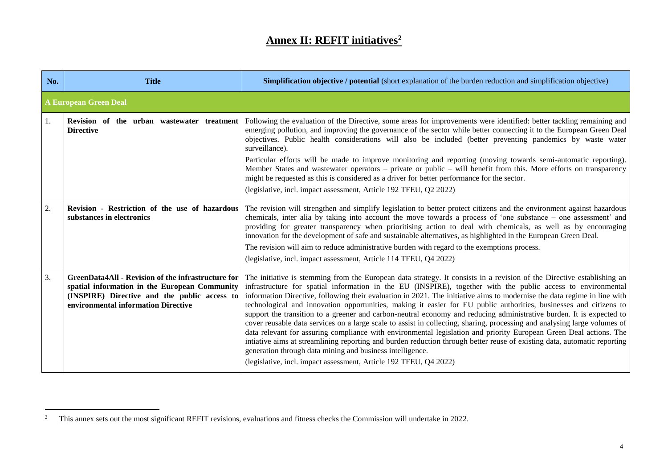## **Annex II: REFIT initiatives<sup>2</sup>**

| No. | <b>Title</b>                                                                                                                                                                                      | <b>Simplification objective / potential</b> (short explanation of the burden reduction and simplification objective)                                                                                                                                                                                                                                                                                                                                                                                                                                                                                                                                                                                                                                                                                                                                                                                                                                                                                                                                                                                                              |
|-----|---------------------------------------------------------------------------------------------------------------------------------------------------------------------------------------------------|-----------------------------------------------------------------------------------------------------------------------------------------------------------------------------------------------------------------------------------------------------------------------------------------------------------------------------------------------------------------------------------------------------------------------------------------------------------------------------------------------------------------------------------------------------------------------------------------------------------------------------------------------------------------------------------------------------------------------------------------------------------------------------------------------------------------------------------------------------------------------------------------------------------------------------------------------------------------------------------------------------------------------------------------------------------------------------------------------------------------------------------|
|     | <b>A European Green Deal</b>                                                                                                                                                                      |                                                                                                                                                                                                                                                                                                                                                                                                                                                                                                                                                                                                                                                                                                                                                                                                                                                                                                                                                                                                                                                                                                                                   |
| 1.  | Revision of the urban wastewater treatment<br><b>Directive</b>                                                                                                                                    | Following the evaluation of the Directive, some areas for improvements were identified: better tackling remaining and<br>emerging pollution, and improving the governance of the sector while better connecting it to the European Green Deal<br>objectives. Public health considerations will also be included (better preventing pandemics by waste water<br>surveillance).<br>Particular efforts will be made to improve monitoring and reporting (moving towards semi-automatic reporting).<br>Member States and wastewater operators – private or public – will benefit from this. More efforts on transparency<br>might be requested as this is considered as a driver for better performance for the sector.<br>(legislative, incl. impact assessment, Article 192 TFEU, Q2 2022)                                                                                                                                                                                                                                                                                                                                          |
| 2.  | Revision - Restriction of the use of hazardous<br>substances in electronics                                                                                                                       | The revision will strengthen and simplify legislation to better protect citizens and the environment against hazardous<br>chemicals, inter alia by taking into account the move towards a process of 'one substance - one assessment' and<br>providing for greater transparency when prioritising action to deal with chemicals, as well as by encouraging<br>innovation for the development of safe and sustainable alternatives, as highlighted in the European Green Deal.<br>The revision will aim to reduce administrative burden with regard to the exemptions process.<br>(legislative, incl. impact assessment, Article 114 TFEU, Q4 2022)                                                                                                                                                                                                                                                                                                                                                                                                                                                                                |
| 3.  | <b>GreenData4All - Revision of the infrastructure for</b><br>spatial information in the European Community<br>(INSPIRE) Directive and the public access to<br>environmental information Directive | The initiative is stemming from the European data strategy. It consists in a revision of the Directive establishing an<br>infrastructure for spatial information in the EU (INSPIRE), together with the public access to environmental<br>information Directive, following their evaluation in 2021. The initiative aims to modernise the data regime in line with<br>technological and innovation opportunities, making it easier for EU public authorities, businesses and citizens to<br>support the transition to a greener and carbon-neutral economy and reducing administrative burden. It is expected to<br>cover reusable data services on a large scale to assist in collecting, sharing, processing and analysing large volumes of<br>data relevant for assuring compliance with environmental legislation and priority European Green Deal actions. The<br>intiative aims at streamlining reporting and burden reduction through better reuse of existing data, automatic reporting<br>generation through data mining and business intelligence.<br>(legislative, incl. impact assessment, Article 192 TFEU, Q4 2022) |

 $\overline{a}$ 

<sup>&</sup>lt;sup>2</sup> This annex sets out the most significant REFIT revisions, evaluations and fitness checks the Commission will undertake in 2022.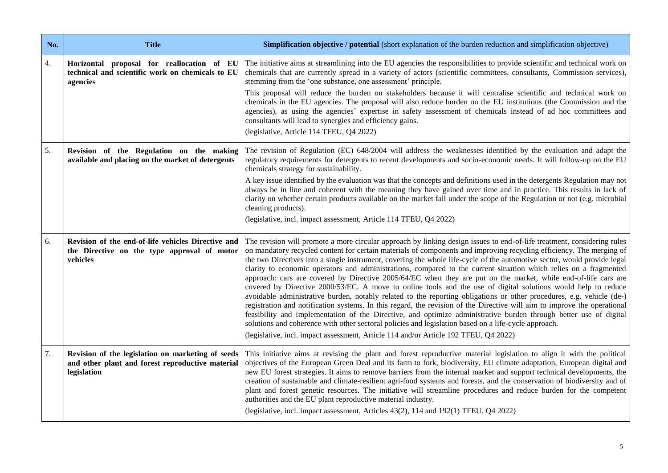| No. | <b>Title</b>                                                                                                         | Simplification objective / potential (short explanation of the burden reduction and simplification objective)                                                                                                                                                                                                                                                                                                                                                                                                                                                                                                                                                                                                                                                                                                                                                                                                                                                                                                                                                                                                                                                                                                                                                                                                 |
|-----|----------------------------------------------------------------------------------------------------------------------|---------------------------------------------------------------------------------------------------------------------------------------------------------------------------------------------------------------------------------------------------------------------------------------------------------------------------------------------------------------------------------------------------------------------------------------------------------------------------------------------------------------------------------------------------------------------------------------------------------------------------------------------------------------------------------------------------------------------------------------------------------------------------------------------------------------------------------------------------------------------------------------------------------------------------------------------------------------------------------------------------------------------------------------------------------------------------------------------------------------------------------------------------------------------------------------------------------------------------------------------------------------------------------------------------------------|
| 4.  | Horizontal proposal for reallocation of EU<br>technical and scientific work on chemicals to EU<br>agencies           | The initiative aims at streamlining into the EU agencies the responsibilities to provide scientific and technical work on<br>chemicals that are currently spread in a variety of actors (scientific committees, consultants, Commission services),<br>stemming from the 'one substance, one assessment' principle.<br>This proposal will reduce the burden on stakeholders because it will centralise scientific and technical work on<br>chemicals in the EU agencies. The proposal will also reduce burden on the EU institutions (the Commission and the<br>agencies), as using the agencies' expertise in safety assessment of chemicals instead of ad hoc committees and<br>consultants will lead to synergies and efficiency gains.<br>(legislative, Article 114 TFEU, Q4 2022)                                                                                                                                                                                                                                                                                                                                                                                                                                                                                                                         |
| 5.  | Revision of the Regulation on the making<br>available and placing on the market of detergents                        | The revision of Regulation (EC) 648/2004 will address the weaknesses identified by the evaluation and adapt the<br>regulatory requirements for detergents to recent developments and socio-economic needs. It will follow-up on the EU<br>chemicals strategy for sustainability.<br>A key issue identified by the evaluation was that the concepts and definitions used in the detergents Regulation may not<br>always be in line and coherent with the meaning they have gained over time and in practice. This results in lack of<br>clarity on whether certain products available on the market fall under the scope of the Regulation or not (e.g. microbial<br>cleaning products).<br>(legislative, incl. impact assessment, Article 114 TFEU, Q4 2022)                                                                                                                                                                                                                                                                                                                                                                                                                                                                                                                                                  |
| 6.  | Revision of the end-of-life vehicles Directive and<br>the Directive on the type approval of motor<br>vehicles        | The revision will promote a more circular approach by linking design issues to end-of-life treatment, considering rules<br>on mandatory recycled content for certain materials of components and improving recycling efficiency. The merging of<br>the two Directives into a single instrument, covering the whole life-cycle of the automotive sector, would provide legal<br>clarity to economic operators and administrations, compared to the current situation which relies on a fragmented<br>approach: cars are covered by Directive 2005/64/EC when they are put on the market, while end-of-life cars are<br>covered by Directive 2000/53/EC. A move to online tools and the use of digital solutions would help to reduce<br>avoidable administrative burden, notably related to the reporting obligations or other procedures, e.g. vehicle (de-)<br>registration and notification systems. In this regard, the revision of the Directive will aim to improve the operational<br>feasibility and implementation of the Directive, and optimize administrative burden through better use of digital<br>solutions and coherence with other sectoral policies and legislation based on a life-cycle approach.<br>(legislative, incl. impact assessment, Article 114 and/or Article 192 TFEU, Q4 2022) |
| 7.  | Revision of the legislation on marketing of seeds<br>and other plant and forest reproductive material<br>legislation | This initiative aims at revising the plant and forest reproductive material legislation to align it with the political<br>objectives of the European Green Deal and its farm to fork, biodiversity, EU climate adaptation, European digital and<br>new EU forest strategies. It aims to remove barriers from the internal market and support technical developments, the<br>creation of sustainable and climate-resilient agri-food systems and forests, and the conservation of biodiversity and of<br>plant and forest genetic resources. The initiative will streamline procedures and reduce burden for the competent<br>authorities and the EU plant reproductive material industry.<br>(legislative, incl. impact assessment, Articles 43(2), 114 and 192(1) TFEU, Q4 2022)                                                                                                                                                                                                                                                                                                                                                                                                                                                                                                                             |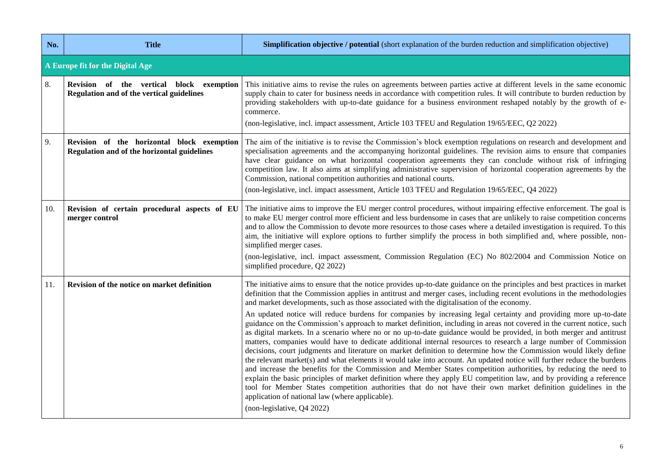| No. | <b>Title</b>                                                                              | Simplification objective / potential (short explanation of the burden reduction and simplification objective)                                                                                                                                                                                                                                                                                                                                                                                                                                                                                                                                                                                                                                                                                                                                                                                                                                                                                                                                                                                                                                                                                                                                                                                                                                                                                                                                                                                                                         |  |
|-----|-------------------------------------------------------------------------------------------|---------------------------------------------------------------------------------------------------------------------------------------------------------------------------------------------------------------------------------------------------------------------------------------------------------------------------------------------------------------------------------------------------------------------------------------------------------------------------------------------------------------------------------------------------------------------------------------------------------------------------------------------------------------------------------------------------------------------------------------------------------------------------------------------------------------------------------------------------------------------------------------------------------------------------------------------------------------------------------------------------------------------------------------------------------------------------------------------------------------------------------------------------------------------------------------------------------------------------------------------------------------------------------------------------------------------------------------------------------------------------------------------------------------------------------------------------------------------------------------------------------------------------------------|--|
|     | A Europe fit for the Digital Age                                                          |                                                                                                                                                                                                                                                                                                                                                                                                                                                                                                                                                                                                                                                                                                                                                                                                                                                                                                                                                                                                                                                                                                                                                                                                                                                                                                                                                                                                                                                                                                                                       |  |
| 8.  | Revision of the vertical block exemption<br>Regulation and of the vertical guidelines     | This initiative aims to revise the rules on agreements between parties active at different levels in the same economic<br>supply chain to cater for business needs in accordance with competition rules. It will contribute to burden reduction by<br>providing stakeholders with up-to-date guidance for a business environment reshaped notably by the growth of e-<br>commerce.<br>(non-legislative, incl. impact assessment, Article 103 TFEU and Regulation 19/65/EEC, Q2 2022)                                                                                                                                                                                                                                                                                                                                                                                                                                                                                                                                                                                                                                                                                                                                                                                                                                                                                                                                                                                                                                                  |  |
| 9.  | Revision of the horizontal block exemption<br>Regulation and of the horizontal guidelines | The aim of the initiative is to revise the Commission's block exemption regulations on research and development and<br>specialisation agreements and the accompanying horizontal guidelines. The revision aims to ensure that companies<br>have clear guidance on what horizontal cooperation agreements they can conclude without risk of infringing<br>competition law. It also aims at simplifying administrative supervision of horizontal cooperation agreements by the<br>Commission, national competition authorities and national courts.<br>(non-legislative, incl. impact assessment, Article 103 TFEU and Regulation 19/65/EEC, Q4 2022)                                                                                                                                                                                                                                                                                                                                                                                                                                                                                                                                                                                                                                                                                                                                                                                                                                                                                   |  |
| 10. | Revision of certain procedural aspects of EU<br>merger control                            | The initiative aims to improve the EU merger control procedures, without impairing effective enforcement. The goal is<br>to make EU merger control more efficient and less burdensome in cases that are unlikely to raise competition concerns<br>and to allow the Commission to devote more resources to those cases where a detailed investigation is required. To this<br>aim, the initiative will explore options to further simplify the process in both simplified and, where possible, non-<br>simplified merger cases.<br>(non-legislative, incl. impact assessment, Commission Regulation (EC) No 802/2004 and Commission Notice on<br>simplified procedure, Q2 2022)                                                                                                                                                                                                                                                                                                                                                                                                                                                                                                                                                                                                                                                                                                                                                                                                                                                        |  |
| 11. | Revision of the notice on market definition                                               | The initiative aims to ensure that the notice provides up-to-date guidance on the principles and best practices in market<br>definition that the Commission applies in antitrust and merger cases, including recent evolutions in the methodologies<br>and market developments, such as those associated with the digitalisation of the economy.<br>An updated notice will reduce burdens for companies by increasing legal certainty and providing more up-to-date<br>guidance on the Commission's approach to market definition, including in areas not covered in the current notice, such<br>as digital markets. In a scenario where no or no up-to-date guidance would be provided, in both merger and antitrust<br>matters, companies would have to dedicate additional internal resources to research a large number of Commission<br>decisions, court judgments and literature on market definition to determine how the Commission would likely define<br>the relevant market(s) and what elements it would take into account. An updated notice will further reduce the burdens<br>and increase the benefits for the Commission and Member States competition authorities, by reducing the need to<br>explain the basic principles of market definition where they apply EU competition law, and by providing a reference<br>tool for Member States competition authorities that do not have their own market definition guidelines in the<br>application of national law (where applicable).<br>(non-legislative, Q4 2022) |  |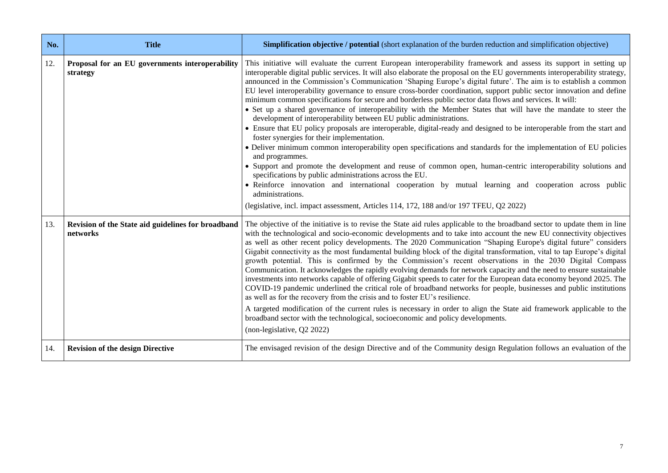| No. | <b>Title</b>                                                   | <b>Simplification objective / potential</b> (short explanation of the burden reduction and simplification objective)                                                                                                                                                                                                                                                                                                                                                                                                                                                                                                                                                                                                                                                                                                                                                                                                                                                                                                                                                                                                                                                                                                                                                                                                                                                                                                                                                                                                 |
|-----|----------------------------------------------------------------|----------------------------------------------------------------------------------------------------------------------------------------------------------------------------------------------------------------------------------------------------------------------------------------------------------------------------------------------------------------------------------------------------------------------------------------------------------------------------------------------------------------------------------------------------------------------------------------------------------------------------------------------------------------------------------------------------------------------------------------------------------------------------------------------------------------------------------------------------------------------------------------------------------------------------------------------------------------------------------------------------------------------------------------------------------------------------------------------------------------------------------------------------------------------------------------------------------------------------------------------------------------------------------------------------------------------------------------------------------------------------------------------------------------------------------------------------------------------------------------------------------------------|
| 12. | Proposal for an EU governments interoperability<br>strategy    | This initiative will evaluate the current European interoperability framework and assess its support in setting up<br>interoperable digital public services. It will also elaborate the proposal on the EU governments interoperability strategy,<br>announced in the Commission's Communication 'Shaping Europe's digital future'. The aim is to establish a common<br>EU level interoperability governance to ensure cross-border coordination, support public sector innovation and define<br>minimum common specifications for secure and borderless public sector data flows and services. It will:<br>• Set up a shared governance of interoperability with the Member States that will have the mandate to steer the<br>development of interoperability between EU public administrations.<br>• Ensure that EU policy proposals are interoperable, digital-ready and designed to be interoperable from the start and<br>foster synergies for their implementation.<br>• Deliver minimum common interoperability open specifications and standards for the implementation of EU policies<br>and programmes.<br>• Support and promote the development and reuse of common open, human-centric interoperability solutions and<br>specifications by public administrations across the EU.<br>• Reinforce innovation and international cooperation by mutual learning and cooperation across public<br>administrations.<br>(legislative, incl. impact assessment, Articles 114, 172, 188 and/or 197 TFEU, Q2 2022) |
| 13. | Revision of the State aid guidelines for broadband<br>networks | The objective of the initiative is to revise the State aid rules applicable to the broadband sector to update them in line<br>with the technological and socio-economic developments and to take into account the new EU connectivity objectives<br>as well as other recent policy developments. The 2020 Communication "Shaping Europe's digital future" considers<br>Gigabit connectivity as the most fundamental building block of the digital transformation, vital to tap Europe's digital<br>growth potential. This is confirmed by the Commission's recent observations in the 2030 Digital Compass<br>Communication. It acknowledges the rapidly evolving demands for network capacity and the need to ensure sustainable<br>investments into networks capable of offering Gigabit speeds to cater for the European data economy beyond 2025. The<br>COVID-19 pandemic underlined the critical role of broadband networks for people, businesses and public institutions<br>as well as for the recovery from the crisis and to foster EU's resilience.<br>A targeted modification of the current rules is necessary in order to align the State aid framework applicable to the<br>broadband sector with the technological, socioeconomic and policy developments.<br>(non-legislative, Q2 2022)                                                                                                                                                                                                             |
| 14. | <b>Revision of the design Directive</b>                        | The envisaged revision of the design Directive and of the Community design Regulation follows an evaluation of the                                                                                                                                                                                                                                                                                                                                                                                                                                                                                                                                                                                                                                                                                                                                                                                                                                                                                                                                                                                                                                                                                                                                                                                                                                                                                                                                                                                                   |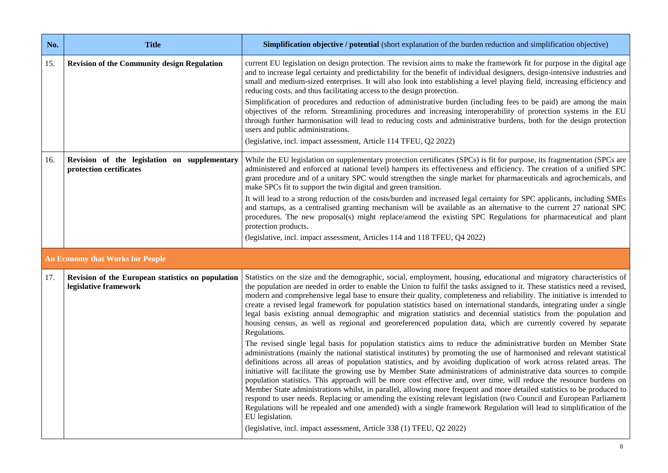| No. | <b>Title</b>                                                               | Simplification objective / potential (short explanation of the burden reduction and simplification objective)                                                                                                                                                                                                                                                                                                                                                                                                                                                                                                                                                                                                                                                                                                                                                                                                                                                                                                                                                                                                                                                                                                                                                                                                                                                                                                                                                                                                                                                                                                                                                                                                                                                                                                                                                    |
|-----|----------------------------------------------------------------------------|------------------------------------------------------------------------------------------------------------------------------------------------------------------------------------------------------------------------------------------------------------------------------------------------------------------------------------------------------------------------------------------------------------------------------------------------------------------------------------------------------------------------------------------------------------------------------------------------------------------------------------------------------------------------------------------------------------------------------------------------------------------------------------------------------------------------------------------------------------------------------------------------------------------------------------------------------------------------------------------------------------------------------------------------------------------------------------------------------------------------------------------------------------------------------------------------------------------------------------------------------------------------------------------------------------------------------------------------------------------------------------------------------------------------------------------------------------------------------------------------------------------------------------------------------------------------------------------------------------------------------------------------------------------------------------------------------------------------------------------------------------------------------------------------------------------------------------------------------------------|
| 15. | <b>Revision of the Community design Regulation</b>                         | current EU legislation on design protection. The revision aims to make the framework fit for purpose in the digital age<br>and to increase legal certainty and predictability for the benefit of individual designers, design-intensive industries and<br>small and medium-sized enterprises. It will also look into establishing a level playing field, increasing efficiency and<br>reducing costs, and thus facilitating access to the design protection.                                                                                                                                                                                                                                                                                                                                                                                                                                                                                                                                                                                                                                                                                                                                                                                                                                                                                                                                                                                                                                                                                                                                                                                                                                                                                                                                                                                                     |
|     |                                                                            | Simplification of procedures and reduction of administrative burden (including fees to be paid) are among the main<br>objectives of the reform. Streamlining procedures and increasing interoperability of protection systems in the EU<br>through further harmonisation will lead to reducing costs and administrative burdens, both for the design protection<br>users and public administrations.                                                                                                                                                                                                                                                                                                                                                                                                                                                                                                                                                                                                                                                                                                                                                                                                                                                                                                                                                                                                                                                                                                                                                                                                                                                                                                                                                                                                                                                             |
|     |                                                                            | (legislative, incl. impact assessment, Article 114 TFEU, Q2 2022)                                                                                                                                                                                                                                                                                                                                                                                                                                                                                                                                                                                                                                                                                                                                                                                                                                                                                                                                                                                                                                                                                                                                                                                                                                                                                                                                                                                                                                                                                                                                                                                                                                                                                                                                                                                                |
| 16. | Revision of the legislation on supplementary<br>protection certificates    | While the EU legislation on supplementary protection certificates (SPCs) is fit for purpose, its fragmentation (SPCs are<br>administered and enforced at national level) hampers its effectiveness and efficiency. The creation of a unified SPC<br>grant procedure and of a unitary SPC would strengthen the single market for pharmaceuticals and agrochemicals, and<br>make SPCs fit to support the twin digital and green transition.                                                                                                                                                                                                                                                                                                                                                                                                                                                                                                                                                                                                                                                                                                                                                                                                                                                                                                                                                                                                                                                                                                                                                                                                                                                                                                                                                                                                                        |
|     |                                                                            | It will lead to a strong reduction of the costs/burden and increased legal certainty for SPC applicants, including SMEs<br>and startups, as a centralised granting mechanism will be available as an alternative to the current 27 national SPC<br>procedures. The new proposal(s) might replace/amend the existing SPC Regulations for pharmaceutical and plant<br>protection products.                                                                                                                                                                                                                                                                                                                                                                                                                                                                                                                                                                                                                                                                                                                                                                                                                                                                                                                                                                                                                                                                                                                                                                                                                                                                                                                                                                                                                                                                         |
|     |                                                                            | (legislative, incl. impact assessment, Articles 114 and 118 TFEU, Q4 2022)                                                                                                                                                                                                                                                                                                                                                                                                                                                                                                                                                                                                                                                                                                                                                                                                                                                                                                                                                                                                                                                                                                                                                                                                                                                                                                                                                                                                                                                                                                                                                                                                                                                                                                                                                                                       |
|     | <b>An Economy that Works for People</b>                                    |                                                                                                                                                                                                                                                                                                                                                                                                                                                                                                                                                                                                                                                                                                                                                                                                                                                                                                                                                                                                                                                                                                                                                                                                                                                                                                                                                                                                                                                                                                                                                                                                                                                                                                                                                                                                                                                                  |
| 17. | Revision of the European statistics on population<br>legislative framework | Statistics on the size and the demographic, social, employment, housing, educational and migratory characteristics of<br>the population are needed in order to enable the Union to fulfil the tasks assigned to it. These statistics need a revised,<br>modern and comprehensive legal base to ensure their quality, completeness and reliability. The initiative is intended to<br>create a revised legal framework for population statistics based on international standards, integrating under a single<br>legal basis existing annual demographic and migration statistics and decennial statistics from the population and<br>housing census, as well as regional and georeferenced population data, which are currently covered by separate<br>Regulations.<br>The revised single legal basis for population statistics aims to reduce the administrative burden on Member State<br>administrations (mainly the national statistical institutes) by promoting the use of harmonised and relevant statistical<br>definitions across all areas of population statistics, and by avoiding duplication of work across related areas. The<br>initiative will facilitate the growing use by Member State administrations of administrative data sources to compile<br>population statistics. This approach will be more cost effective and, over time, will reduce the resource burdens on<br>Member State administrations whilst, in parallel, allowing more frequent and more detailed statistics to be produced to<br>respond to user needs. Replacing or amending the existing relevant legislation (two Council and European Parliament<br>Regulations will be repealed and one amended) with a single framework Regulation will lead to simplification of the<br>EU legislation.<br>(legislative, incl. impact assessment, Article 338 (1) TFEU, Q2 2022) |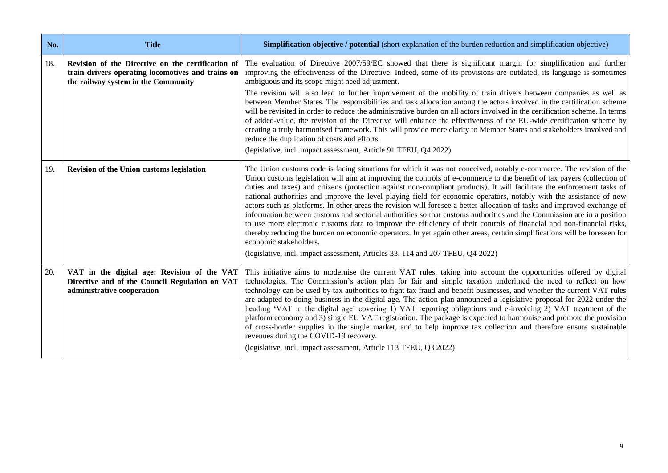| No. | <b>Title</b>                                                                                                                                  | Simplification objective / potential (short explanation of the burden reduction and simplification objective)                                                                                                                                                                                                                                                                                                                                                                                                                                                                                                                                                                                                                                                                                                                                                                                                                                                                                                                                                                                                           |
|-----|-----------------------------------------------------------------------------------------------------------------------------------------------|-------------------------------------------------------------------------------------------------------------------------------------------------------------------------------------------------------------------------------------------------------------------------------------------------------------------------------------------------------------------------------------------------------------------------------------------------------------------------------------------------------------------------------------------------------------------------------------------------------------------------------------------------------------------------------------------------------------------------------------------------------------------------------------------------------------------------------------------------------------------------------------------------------------------------------------------------------------------------------------------------------------------------------------------------------------------------------------------------------------------------|
| 18. | Revision of the Directive on the certification of<br>train drivers operating locomotives and trains on<br>the railway system in the Community | The evaluation of Directive 2007/59/EC showed that there is significant margin for simplification and further<br>improving the effectiveness of the Directive. Indeed, some of its provisions are outdated, its language is sometimes<br>ambiguous and its scope might need adjustment.<br>The revision will also lead to further improvement of the mobility of train drivers between companies as well as<br>between Member States. The responsibilities and task allocation among the actors involved in the certification scheme<br>will be revisited in order to reduce the administrative burden on all actors involved in the certification scheme. In terms<br>of added-value, the revision of the Directive will enhance the effectiveness of the EU-wide certification scheme by<br>creating a truly harmonised framework. This will provide more clarity to Member States and stakeholders involved and<br>reduce the duplication of costs and efforts.<br>(legislative, incl. impact assessment, Article 91 TFEU, Q4 2022)                                                                                  |
| 19. | <b>Revision of the Union customs legislation</b>                                                                                              | The Union customs code is facing situations for which it was not conceived, notably e-commerce. The revision of the<br>Union customs legislation will aim at improving the controls of e-commerce to the benefit of tax payers (collection of<br>duties and taxes) and citizens (protection against non-compliant products). It will facilitate the enforcement tasks of<br>national authorities and improve the level playing field for economic operators, notably with the assistance of new<br>actors such as platforms. In other areas the revision will foresee a better allocation of tasks and improved exchange of<br>information between customs and sectorial authorities so that customs authorities and the Commission are in a position<br>to use more electronic customs data to improve the efficiency of their controls of financial and non-financial risks,<br>thereby reducing the burden on economic operators. In yet again other areas, certain simplifications will be foreseen for<br>economic stakeholders.<br>(legislative, incl. impact assessment, Articles 33, 114 and 207 TFEU, Q4 2022) |
| 20. | VAT in the digital age: Revision of the VAT<br>Directive and of the Council Regulation on VAT<br>administrative cooperation                   | This initiative aims to modernise the current VAT rules, taking into account the opportunities offered by digital<br>technologies. The Commission's action plan for fair and simple taxation underlined the need to reflect on how<br>technology can be used by tax authorities to fight tax fraud and benefit businesses, and whether the current VAT rules<br>are adapted to doing business in the digital age. The action plan announced a legislative proposal for 2022 under the<br>heading 'VAT in the digital age' covering 1) VAT reporting obligations and e-invoicing 2) VAT treatment of the<br>platform economy and 3) single EU VAT registration. The package is expected to harmonise and promote the provision<br>of cross-border supplies in the single market, and to help improve tax collection and therefore ensure sustainable<br>revenues during the COVID-19 recovery.<br>(legislative, incl. impact assessment, Article 113 TFEU, Q3 2022)                                                                                                                                                      |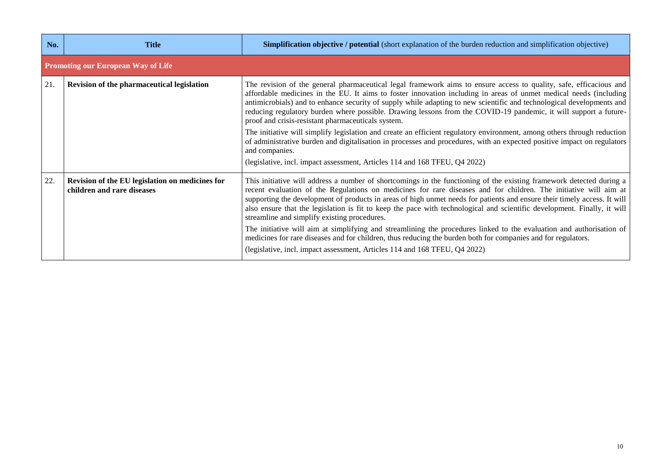| No. | Title                                                                         | <b>Simplification objective / potential</b> (short explanation of the burden reduction and simplification objective)                                                                                                                                                                                                                                                                                                                                                                                                                                                                                                                                                                                                                                                                                                                                                                             |
|-----|-------------------------------------------------------------------------------|--------------------------------------------------------------------------------------------------------------------------------------------------------------------------------------------------------------------------------------------------------------------------------------------------------------------------------------------------------------------------------------------------------------------------------------------------------------------------------------------------------------------------------------------------------------------------------------------------------------------------------------------------------------------------------------------------------------------------------------------------------------------------------------------------------------------------------------------------------------------------------------------------|
|     | <b>Promoting our European Way of Life</b>                                     |                                                                                                                                                                                                                                                                                                                                                                                                                                                                                                                                                                                                                                                                                                                                                                                                                                                                                                  |
| 21. | Revision of the pharmaceutical legislation                                    | The revision of the general pharmaceutical legal framework aims to ensure access to quality, safe, efficacious and<br>affordable medicines in the EU. It aims to foster innovation including in areas of unmet medical needs (including<br>antimicrobials) and to enhance security of supply while adapting to new scientific and technological developments and<br>reducing regulatory burden where possible. Drawing lessons from the COVID-19 pandemic, it will support a future-<br>proof and crisis-resistant pharmaceuticals system.<br>The initiative will simplify legislation and create an efficient regulatory environment, among others through reduction<br>of administrative burden and digitalisation in processes and procedures, with an expected positive impact on regulators<br>and companies.<br>(legislative, incl. impact assessment, Articles 114 and 168 TFEU, Q4 2022) |
| 22. | Revision of the EU legislation on medicines for<br>children and rare diseases | This initiative will address a number of shortcomings in the functioning of the existing framework detected during a<br>recent evaluation of the Regulations on medicines for rare diseases and for children. The initiative will aim at<br>supporting the development of products in areas of high unmet needs for patients and ensure their timely access. It will<br>also ensure that the legislation is fit to keep the pace with technological and scientific development. Finally, it will<br>streamline and simplify existing procedures.<br>The initiative will aim at simplifying and streamlining the procedures linked to the evaluation and authorisation of<br>medicines for rare diseases and for children, thus reducing the burden both for companies and for regulators.<br>(legislative, incl. impact assessment, Articles 114 and 168 TFEU, Q4 2022)                          |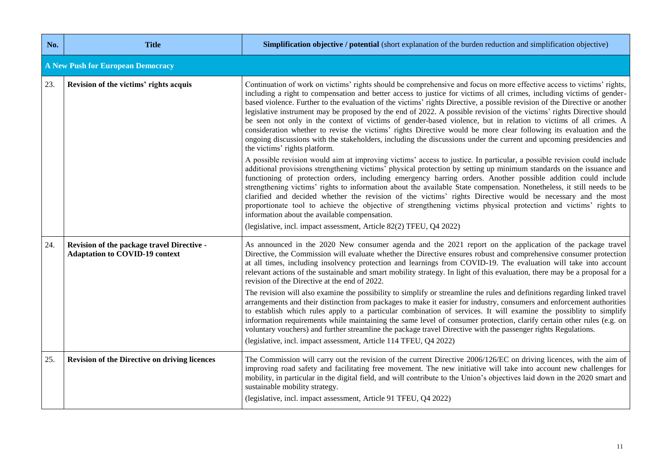| No. | <b>Title</b>                                                                        | <b>Simplification objective / potential</b> (short explanation of the burden reduction and simplification objective)                                                                                                                                                                                                                                                                                                                                                                                                                                                                                                                                                                                                                                                                                                                                                                                                                                                                                                                                                                                                                                                                                                                                                                                                                                                                                                                                                                                                                                                                                                                                                                                                                                                 |
|-----|-------------------------------------------------------------------------------------|----------------------------------------------------------------------------------------------------------------------------------------------------------------------------------------------------------------------------------------------------------------------------------------------------------------------------------------------------------------------------------------------------------------------------------------------------------------------------------------------------------------------------------------------------------------------------------------------------------------------------------------------------------------------------------------------------------------------------------------------------------------------------------------------------------------------------------------------------------------------------------------------------------------------------------------------------------------------------------------------------------------------------------------------------------------------------------------------------------------------------------------------------------------------------------------------------------------------------------------------------------------------------------------------------------------------------------------------------------------------------------------------------------------------------------------------------------------------------------------------------------------------------------------------------------------------------------------------------------------------------------------------------------------------------------------------------------------------------------------------------------------------|
|     | <b>A New Push for European Democracy</b>                                            |                                                                                                                                                                                                                                                                                                                                                                                                                                                                                                                                                                                                                                                                                                                                                                                                                                                                                                                                                                                                                                                                                                                                                                                                                                                                                                                                                                                                                                                                                                                                                                                                                                                                                                                                                                      |
| 23. | Revision of the victims' rights acquis                                              | Continuation of work on victims' rights should be comprehensive and focus on more effective access to victims' rights,<br>including a right to compensation and better access to justice for victims of all crimes, including victims of gender-<br>based violence. Further to the evaluation of the victims' rights Directive, a possible revision of the Directive or another<br>legislative instrument may be proposed by the end of 2022. A possible revision of the victims' rights Directive should<br>be seen not only in the context of victims of gender-based violence, but in relation to victims of all crimes. A<br>consideration whether to revise the victims' rights Directive would be more clear following its evaluation and the<br>ongoing discussions with the stakeholders, including the discussions under the current and upcoming presidencies and<br>the victims' rights platform.<br>A possible revision would aim at improving victims' access to justice. In particular, a possible revision could include<br>additional provisions strengthening victims' physical protection by setting up minimum standards on the issuance and<br>functioning of protection orders, including emergency barring orders. Another possible addition could include<br>strengthening victims' rights to information about the available State compensation. Nonetheless, it still needs to be<br>clarified and decided whether the revision of the victims' rights Directive would be necessary and the most<br>proportionate tool to achieve the objective of strengthening victims physical protection and victims' rights to<br>information about the available compensation.<br>(legislative, incl. impact assessment, Article 82(2) TFEU, Q4 2022) |
| 24. | Revision of the package travel Directive -<br><b>Adaptation to COVID-19 context</b> | As announced in the 2020 New consumer agenda and the 2021 report on the application of the package travel<br>Directive, the Commission will evaluate whether the Directive ensures robust and comprehensive consumer protection<br>at all times, including insolvency protection and learnings from COVID-19. The evaluation will take into account<br>relevant actions of the sustainable and smart mobility strategy. In light of this evaluation, there may be a proposal for a<br>revision of the Directive at the end of 2022.<br>The revision will also examine the possibility to simplify or streamline the rules and definitions regarding linked travel<br>arrangements and their distinction from packages to make it easier for industry, consumers and enforcement authorities<br>to establish which rules apply to a particular combination of services. It will examine the possiblity to simplify<br>information requirements while maintaining the same level of consumer protection, clarify certain other rules (e.g. on<br>voluntary vouchers) and further streamline the package travel Directive with the passenger rights Regulations.<br>(legislative, incl. impact assessment, Article 114 TFEU, Q4 2022)                                                                                                                                                                                                                                                                                                                                                                                                                                                                                                                                   |
| 25. | <b>Revision of the Directive on driving licences</b>                                | The Commission will carry out the revision of the current Directive 2006/126/EC on driving licences, with the aim of<br>improving road safety and facilitating free movement. The new initiative will take into account new challenges for<br>mobility, in particular in the digital field, and will contribute to the Union's objectives laid down in the 2020 smart and<br>sustainable mobility strategy.<br>(legislative, incl. impact assessment, Article 91 TFEU, Q4 2022)                                                                                                                                                                                                                                                                                                                                                                                                                                                                                                                                                                                                                                                                                                                                                                                                                                                                                                                                                                                                                                                                                                                                                                                                                                                                                      |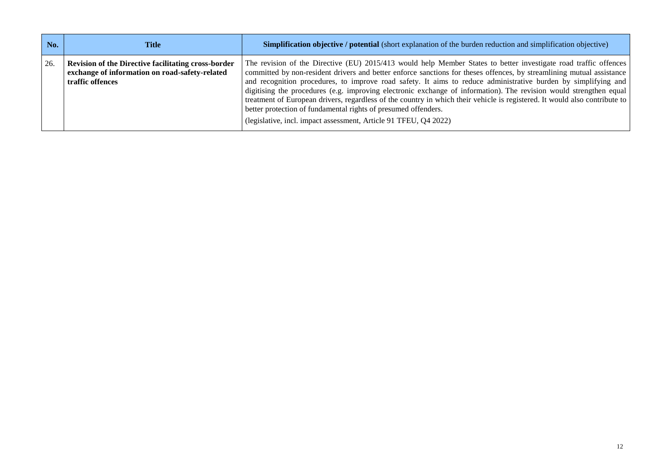| No. | Title                                                                                                                     | <b>Simplification objective / potential (short explanation of the burden reduction and simplification objective)</b>                                                                                                                                                                                                                                                                                                                                                                                                                                                                                                                                                                                                                                  |
|-----|---------------------------------------------------------------------------------------------------------------------------|-------------------------------------------------------------------------------------------------------------------------------------------------------------------------------------------------------------------------------------------------------------------------------------------------------------------------------------------------------------------------------------------------------------------------------------------------------------------------------------------------------------------------------------------------------------------------------------------------------------------------------------------------------------------------------------------------------------------------------------------------------|
| 26. | Revision of the Directive facilitating cross-border<br>exchange of information on road-safety-related<br>traffic offences | The revision of the Directive (EU) 2015/413 would help Member States to better investigate road traffic offences<br>committed by non-resident drivers and better enforce sanctions for theses offences, by streamlining mutual assistance<br>and recognition procedures, to improve road safety. It aims to reduce administrative burden by simplifying and<br>digitising the procedures (e.g. improving electronic exchange of information). The revision would strengthen equal<br>treatment of European drivers, regardless of the country in which their vehicle is registered. It would also contribute to<br>better protection of fundamental rights of presumed offenders.<br>(legislative, incl. impact assessment, Article 91 TFEU, Q4 2022) |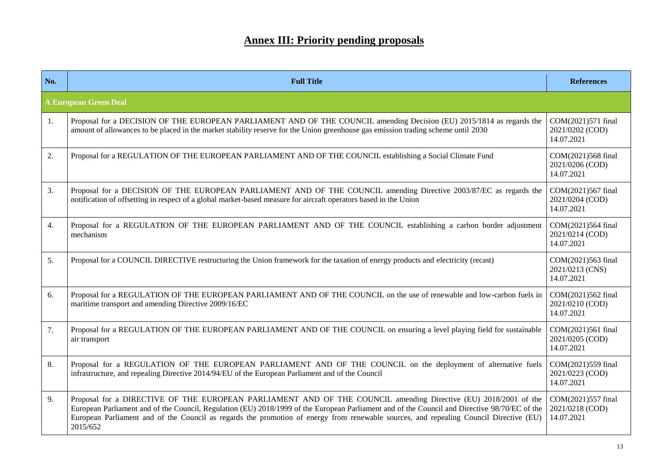## **Annex III: Priority pending proposals**

| No. | <b>Full Title</b>                                                                                                                                                                                                                                                                                                                                                                                                      | <b>References</b>                                   |  |  |
|-----|------------------------------------------------------------------------------------------------------------------------------------------------------------------------------------------------------------------------------------------------------------------------------------------------------------------------------------------------------------------------------------------------------------------------|-----------------------------------------------------|--|--|
|     | <b>A European Green Deal</b>                                                                                                                                                                                                                                                                                                                                                                                           |                                                     |  |  |
| 1.  | Proposal for a DECISION OF THE EUROPEAN PARLIAMENT AND OF THE COUNCIL amending Decision (EU) 2015/1814 as regards the<br>amount of allowances to be placed in the market stability reserve for the Union greenhouse gas emission trading scheme until 2030                                                                                                                                                             | COM(2021)571 final<br>2021/0202 (COD)<br>14.07.2021 |  |  |
| 2.  | Proposal for a REGULATION OF THE EUROPEAN PARLIAMENT AND OF THE COUNCIL establishing a Social Climate Fund                                                                                                                                                                                                                                                                                                             |                                                     |  |  |
| 3.  | Proposal for a DECISION OF THE EUROPEAN PARLIAMENT AND OF THE COUNCIL amending Directive 2003/87/EC as regards the<br>notification of offsetting in respect of a global market-based measure for aircraft operators based in the Union                                                                                                                                                                                 |                                                     |  |  |
| 4.  | Proposal for a REGULATION OF THE EUROPEAN PARLIAMENT AND OF THE COUNCIL establishing a carbon border adjustment<br>mechanism                                                                                                                                                                                                                                                                                           |                                                     |  |  |
| 5.  | Proposal for a COUNCIL DIRECTIVE restructuring the Union framework for the taxation of energy products and electricity (recast)                                                                                                                                                                                                                                                                                        | COM(2021)563 final<br>2021/0213 (CNS)<br>14.07.2021 |  |  |
| 6.  | Proposal for a REGULATION OF THE EUROPEAN PARLIAMENT AND OF THE COUNCIL on the use of renewable and low-carbon fuels in<br>maritime transport and amending Directive 2009/16/EC                                                                                                                                                                                                                                        |                                                     |  |  |
| 7.  | Proposal for a REGULATION OF THE EUROPEAN PARLIAMENT AND OF THE COUNCIL on ensuring a level playing field for sustainable<br>air transport                                                                                                                                                                                                                                                                             | COM(2021)561 final<br>2021/0205 (COD)<br>14.07.2021 |  |  |
| 8.  | Proposal for a REGULATION OF THE EUROPEAN PARLIAMENT AND OF THE COUNCIL on the deployment of alternative fuels<br>infrastructure, and repealing Directive 2014/94/EU of the European Parliament and of the Council                                                                                                                                                                                                     | COM(2021)559 final<br>2021/0223 (COD)<br>14.07.2021 |  |  |
| 9.  | Proposal for a DIRECTIVE OF THE EUROPEAN PARLIAMENT AND OF THE COUNCIL amending Directive (EU) 2018/2001 of the<br>European Parliament and of the Council, Regulation (EU) 2018/1999 of the European Parliament and of the Council and Directive 98/70/EC of the<br>European Parliament and of the Council as regards the promotion of energy from renewable sources, and repealing Council Directive (EU)<br>2015/652 | COM(2021)557 final<br>2021/0218 (COD)<br>14.07.2021 |  |  |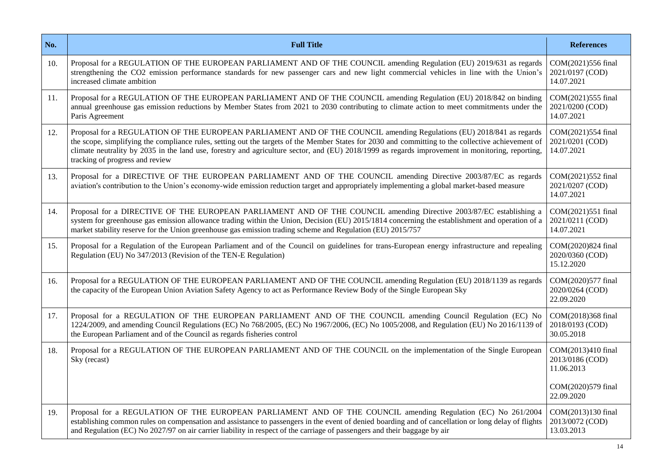| No. | <b>Full Title</b>                                                                                                                                                                                                                                                                                                                                                                                                                                                  | <b>References</b>                                   |
|-----|--------------------------------------------------------------------------------------------------------------------------------------------------------------------------------------------------------------------------------------------------------------------------------------------------------------------------------------------------------------------------------------------------------------------------------------------------------------------|-----------------------------------------------------|
| 10. | Proposal for a REGULATION OF THE EUROPEAN PARLIAMENT AND OF THE COUNCIL amending Regulation (EU) 2019/631 as regards<br>strengthening the CO2 emission performance standards for new passenger cars and new light commercial vehicles in line with the Union's<br>increased climate ambition                                                                                                                                                                       | COM(2021)556 final<br>2021/0197 (COD)<br>14.07.2021 |
| 11. | Proposal for a REGULATION OF THE EUROPEAN PARLIAMENT AND OF THE COUNCIL amending Regulation (EU) 2018/842 on binding<br>annual greenhouse gas emission reductions by Member States from 2021 to 2030 contributing to climate action to meet commitments under the<br>Paris Agreement                                                                                                                                                                               |                                                     |
| 12. | Proposal for a REGULATION OF THE EUROPEAN PARLIAMENT AND OF THE COUNCIL amending Regulations (EU) 2018/841 as regards<br>the scope, simplifying the compliance rules, setting out the targets of the Member States for 2030 and committing to the collective achievement of<br>climate neutrality by 2035 in the land use, forestry and agriculture sector, and (EU) 2018/1999 as regards improvement in monitoring, reporting,<br>tracking of progress and review |                                                     |
| 13. | Proposal for a DIRECTIVE OF THE EUROPEAN PARLIAMENT AND OF THE COUNCIL amending Directive 2003/87/EC as regards<br>aviation's contribution to the Union's economy-wide emission reduction target and appropriately implementing a global market-based measure                                                                                                                                                                                                      |                                                     |
| 14. | Proposal for a DIRECTIVE OF THE EUROPEAN PARLIAMENT AND OF THE COUNCIL amending Directive 2003/87/EC establishing a<br>system for greenhouse gas emission allowance trading within the Union, Decision (EU) 2015/1814 concerning the establishment and operation of a<br>market stability reserve for the Union greenhouse gas emission trading scheme and Regulation (EU) 2015/757                                                                                |                                                     |
| 15. | Proposal for a Regulation of the European Parliament and of the Council on guidelines for trans-European energy infrastructure and repealing<br>Regulation (EU) No 347/2013 (Revision of the TEN-E Regulation)                                                                                                                                                                                                                                                     | COM(2020)824 final<br>2020/0360 (COD)<br>15.12.2020 |
| 16. | Proposal for a REGULATION OF THE EUROPEAN PARLIAMENT AND OF THE COUNCIL amending Regulation (EU) 2018/1139 as regards<br>the capacity of the European Union Aviation Safety Agency to act as Performance Review Body of the Single European Sky                                                                                                                                                                                                                    |                                                     |
| 17. | Proposal for a REGULATION OF THE EUROPEAN PARLIAMENT AND OF THE COUNCIL amending Council Regulation (EC) No<br>1224/2009, and amending Council Regulations (EC) No 768/2005, (EC) No 1967/2006, (EC) No 1005/2008, and Regulation (EU) No 2016/1139 of<br>the European Parliament and of the Council as regards fisheries control                                                                                                                                  |                                                     |
| 18. | Proposal for a REGULATION OF THE EUROPEAN PARLIAMENT AND OF THE COUNCIL on the implementation of the Single European<br>Sky (recast)                                                                                                                                                                                                                                                                                                                               | COM(2013)410 final<br>2013/0186 (COD)<br>11.06.2013 |
|     |                                                                                                                                                                                                                                                                                                                                                                                                                                                                    | COM(2020)579 final<br>22.09.2020                    |
| 19. | Proposal for a REGULATION OF THE EUROPEAN PARLIAMENT AND OF THE COUNCIL amending Regulation (EC) No 261/2004<br>establishing common rules on compensation and assistance to passengers in the event of denied boarding and of cancellation or long delay of flights<br>and Regulation (EC) No 2027/97 on air carrier liability in respect of the carriage of passengers and their baggage by air                                                                   | COM(2013)130 final<br>2013/0072 (COD)<br>13.03.2013 |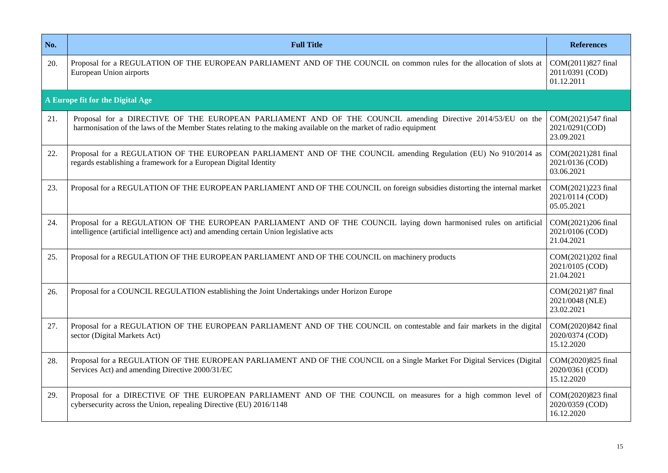| No. | <b>Full Title</b>                                                                                                                                                                                                               |                                                     |
|-----|---------------------------------------------------------------------------------------------------------------------------------------------------------------------------------------------------------------------------------|-----------------------------------------------------|
| 20. | Proposal for a REGULATION OF THE EUROPEAN PARLIAMENT AND OF THE COUNCIL on common rules for the allocation of slots at<br>European Union airports                                                                               | COM(2011)827 final<br>2011/0391 (COD)<br>01.12.2011 |
|     | A Europe fit for the Digital Age                                                                                                                                                                                                |                                                     |
| 21. | Proposal for a DIRECTIVE OF THE EUROPEAN PARLIAMENT AND OF THE COUNCIL amending Directive 2014/53/EU on the<br>harmonisation of the laws of the Member States relating to the making available on the market of radio equipment | COM(2021)547 final<br>2021/0291(COD)<br>23.09.2021  |
| 22. | Proposal for a REGULATION OF THE EUROPEAN PARLIAMENT AND OF THE COUNCIL amending Regulation (EU) No 910/2014 as<br>regards establishing a framework for a European Digital Identity                                             |                                                     |
| 23. | Proposal for a REGULATION OF THE EUROPEAN PARLIAMENT AND OF THE COUNCIL on foreign subsidies distorting the internal market                                                                                                     |                                                     |
| 24. | Proposal for a REGULATION OF THE EUROPEAN PARLIAMENT AND OF THE COUNCIL laying down harmonised rules on artificial<br>intelligence (artificial intelligence act) and amending certain Union legislative acts                    |                                                     |
| 25. | Proposal for a REGULATION OF THE EUROPEAN PARLIAMENT AND OF THE COUNCIL on machinery products                                                                                                                                   |                                                     |
| 26. | Proposal for a COUNCIL REGULATION establishing the Joint Undertakings under Horizon Europe                                                                                                                                      |                                                     |
| 27. | Proposal for a REGULATION OF THE EUROPEAN PARLIAMENT AND OF THE COUNCIL on contestable and fair markets in the digital<br>sector (Digital Markets Act)                                                                          | COM(2020)842 final<br>2020/0374 (COD)<br>15.12.2020 |
| 28. | Proposal for a REGULATION OF THE EUROPEAN PARLIAMENT AND OF THE COUNCIL on a Single Market For Digital Services (Digital<br>Services Act) and amending Directive 2000/31/EC                                                     | COM(2020)825 final<br>2020/0361 (COD)<br>15.12.2020 |
| 29. | Proposal for a DIRECTIVE OF THE EUROPEAN PARLIAMENT AND OF THE COUNCIL on measures for a high common level of<br>cybersecurity across the Union, repealing Directive (EU) 2016/1148                                             | COM(2020)823 final<br>2020/0359 (COD)<br>16.12.2020 |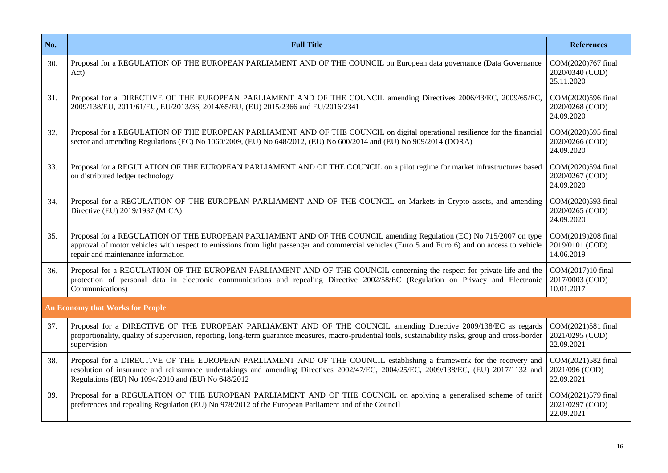| No. | <b>Full Title</b>                                                                                                                                                                                                                                                                                                                                                        |                                                     |
|-----|--------------------------------------------------------------------------------------------------------------------------------------------------------------------------------------------------------------------------------------------------------------------------------------------------------------------------------------------------------------------------|-----------------------------------------------------|
| 30. | Proposal for a REGULATION OF THE EUROPEAN PARLIAMENT AND OF THE COUNCIL on European data governance (Data Governance<br>Act)                                                                                                                                                                                                                                             | COM(2020)767 final<br>2020/0340 (COD)<br>25.11.2020 |
| 31. | Proposal for a DIRECTIVE OF THE EUROPEAN PARLIAMENT AND OF THE COUNCIL amending Directives 2006/43/EC, 2009/65/EC,<br>2009/138/EU, 2011/61/EU, EU/2013/36, 2014/65/EU, (EU) 2015/2366 and EU/2016/2341                                                                                                                                                                   |                                                     |
| 32. | Proposal for a REGULATION OF THE EUROPEAN PARLIAMENT AND OF THE COUNCIL on digital operational resilience for the financial<br>sector and amending Regulations (EC) No 1060/2009, (EU) No 648/2012, (EU) No 600/2014 and (EU) No 909/2014 (DORA)                                                                                                                         |                                                     |
| 33. | Proposal for a REGULATION OF THE EUROPEAN PARLIAMENT AND OF THE COUNCIL on a pilot regime for market infrastructures based<br>on distributed ledger technology                                                                                                                                                                                                           | COM(2020)594 final<br>2020/0267 (COD)<br>24.09.2020 |
| 34. | Proposal for a REGULATION OF THE EUROPEAN PARLIAMENT AND OF THE COUNCIL on Markets in Crypto-assets, and amending<br>Directive (EU) 2019/1937 (MICA)                                                                                                                                                                                                                     |                                                     |
| 35. | Proposal for a REGULATION OF THE EUROPEAN PARLIAMENT AND OF THE COUNCIL amending Regulation (EC) No 715/2007 on type<br>approval of motor vehicles with respect to emissions from light passenger and commercial vehicles (Euro 5 and Euro 6) and on access to vehicle<br>repair and maintenance information                                                             | COM(2019)208 final<br>2019/0101 (COD)<br>14.06.2019 |
| 36. | Proposal for a REGULATION OF THE EUROPEAN PARLIAMENT AND OF THE COUNCIL concerning the respect for private life and the<br>protection of personal data in electronic communications and repealing Directive 2002/58/EC (Regulation on Privacy and Electronic<br>Communications)                                                                                          |                                                     |
|     | <b>An Economy that Works for People</b>                                                                                                                                                                                                                                                                                                                                  |                                                     |
| 37. | Proposal for a DIRECTIVE OF THE EUROPEAN PARLIAMENT AND OF THE COUNCIL amending Directive 2009/138/EC as regards<br>proportionality, quality of supervision, reporting, long-term guarantee measures, macro-prudential tools, sustainability risks, group and cross-border<br>supervision                                                                                | COM(2021)581 final<br>2021/0295 (COD)<br>22.09.2021 |
| 38. | Proposal for a DIRECTIVE OF THE EUROPEAN PARLIAMENT AND OF THE COUNCIL establishing a framework for the recovery and<br>COM(2021)582 final<br>resolution of insurance and reinsurance undertakings and amending Directives 2002/47/EC, 2004/25/EC, 2009/138/EC, (EU) 2017/1132 and<br>2021/096 (COD)<br>Regulations (EU) No 1094/2010 and (EU) No 648/2012<br>22.09.2021 |                                                     |
| 39. | Proposal for a REGULATION OF THE EUROPEAN PARLIAMENT AND OF THE COUNCIL on applying a generalised scheme of tariff<br>preferences and repealing Regulation (EU) No 978/2012 of the European Parliament and of the Council                                                                                                                                                |                                                     |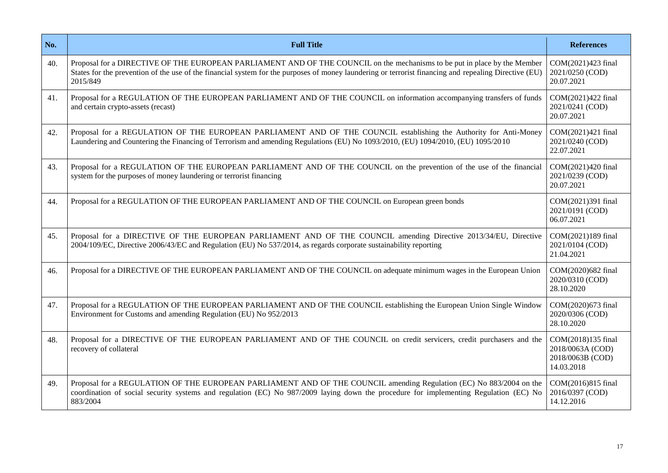| No. | <b>Full Title</b>                                                                                                                                                                                                                                                                              | <b>References</b>                                                        |
|-----|------------------------------------------------------------------------------------------------------------------------------------------------------------------------------------------------------------------------------------------------------------------------------------------------|--------------------------------------------------------------------------|
| 40. | Proposal for a DIRECTIVE OF THE EUROPEAN PARLIAMENT AND OF THE COUNCIL on the mechanisms to be put in place by the Member<br>States for the prevention of the use of the financial system for the purposes of money laundering or terrorist financing and repealing Directive (EU)<br>2015/849 | COM(2021)423 final<br>2021/0250 (COD)<br>20.07.2021                      |
| 41. | Proposal for a REGULATION OF THE EUROPEAN PARLIAMENT AND OF THE COUNCIL on information accompanying transfers of funds<br>and certain crypto-assets (recast)                                                                                                                                   |                                                                          |
| 42. | Proposal for a REGULATION OF THE EUROPEAN PARLIAMENT AND OF THE COUNCIL establishing the Authority for Anti-Money<br>Laundering and Countering the Financing of Terrorism and amending Regulations (EU) No 1093/2010, (EU) 1094/2010, (EU) 1095/2010                                           |                                                                          |
| 43. | Proposal for a REGULATION OF THE EUROPEAN PARLIAMENT AND OF THE COUNCIL on the prevention of the use of the financial<br>system for the purposes of money laundering or terrorist financing                                                                                                    |                                                                          |
| 44. | Proposal for a REGULATION OF THE EUROPEAN PARLIAMENT AND OF THE COUNCIL on European green bonds                                                                                                                                                                                                |                                                                          |
| 45. | Proposal for a DIRECTIVE OF THE EUROPEAN PARLIAMENT AND OF THE COUNCIL amending Directive 2013/34/EU, Directive<br>2004/109/EC, Directive 2006/43/EC and Regulation (EU) No 537/2014, as regards corporate sustainability reporting                                                            |                                                                          |
| 46. | Proposal for a DIRECTIVE OF THE EUROPEAN PARLIAMENT AND OF THE COUNCIL on adequate minimum wages in the European Union                                                                                                                                                                         |                                                                          |
| 47. | Proposal for a REGULATION OF THE EUROPEAN PARLIAMENT AND OF THE COUNCIL establishing the European Union Single Window<br>Environment for Customs and amending Regulation (EU) No 952/2013                                                                                                      | COM(2020)673 final<br>2020/0306 (COD)<br>28.10.2020                      |
| 48. | Proposal for a DIRECTIVE OF THE EUROPEAN PARLIAMENT AND OF THE COUNCIL on credit servicers, credit purchasers and the<br>recovery of collateral                                                                                                                                                | COM(2018)135 final<br>2018/0063A (COD)<br>2018/0063B (COD)<br>14.03.2018 |
| 49. | Proposal for a REGULATION OF THE EUROPEAN PARLIAMENT AND OF THE COUNCIL amending Regulation (EC) No 883/2004 on the<br>coordination of social security systems and regulation (EC) No 987/2009 laying down the procedure for implementing Regulation (EC) No<br>883/2004                       | COM(2016)815 final<br>2016/0397 (COD)<br>14.12.2016                      |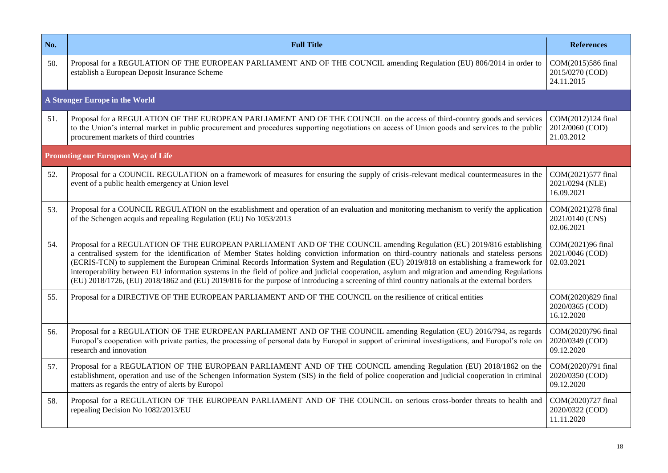| No. | <b>Full Title</b>                                                                                                                                                                                                                                                                                                                                                                                                                                                                                                                                                                                                                                                                                                     |                                                     |
|-----|-----------------------------------------------------------------------------------------------------------------------------------------------------------------------------------------------------------------------------------------------------------------------------------------------------------------------------------------------------------------------------------------------------------------------------------------------------------------------------------------------------------------------------------------------------------------------------------------------------------------------------------------------------------------------------------------------------------------------|-----------------------------------------------------|
| 50. | Proposal for a REGULATION OF THE EUROPEAN PARLIAMENT AND OF THE COUNCIL amending Regulation (EU) 806/2014 in order to<br>establish a European Deposit Insurance Scheme                                                                                                                                                                                                                                                                                                                                                                                                                                                                                                                                                | COM(2015)586 final<br>2015/0270 (COD)<br>24.11.2015 |
|     | A Stronger Europe in the World                                                                                                                                                                                                                                                                                                                                                                                                                                                                                                                                                                                                                                                                                        |                                                     |
| 51. | Proposal for a REGULATION OF THE EUROPEAN PARLIAMENT AND OF THE COUNCIL on the access of third-country goods and services<br>to the Union's internal market in public procurement and procedures supporting negotiations on access of Union goods and services to the public<br>procurement markets of third countries                                                                                                                                                                                                                                                                                                                                                                                                |                                                     |
|     | <b>Promoting our European Way of Life</b>                                                                                                                                                                                                                                                                                                                                                                                                                                                                                                                                                                                                                                                                             |                                                     |
| 52. | Proposal for a COUNCIL REGULATION on a framework of measures for ensuring the supply of crisis-relevant medical countermeasures in the<br>event of a public health emergency at Union level                                                                                                                                                                                                                                                                                                                                                                                                                                                                                                                           |                                                     |
| 53. | Proposal for a COUNCIL REGULATION on the establishment and operation of an evaluation and monitoring mechanism to verify the application<br>of the Schengen acquis and repealing Regulation (EU) No 1053/2013                                                                                                                                                                                                                                                                                                                                                                                                                                                                                                         |                                                     |
| 54. | Proposal for a REGULATION OF THE EUROPEAN PARLIAMENT AND OF THE COUNCIL amending Regulation (EU) 2019/816 establishing<br>a centralised system for the identification of Member States holding conviction information on third-country nationals and stateless persons<br>(ECRIS-TCN) to supplement the European Criminal Records Information System and Regulation (EU) 2019/818 on establishing a framework for<br>interoperability between EU information systems in the field of police and judicial cooperation, asylum and migration and amending Regulations<br>(EU) 2018/1726, (EU) 2018/1862 and (EU) 2019/816 for the purpose of introducing a screening of third country nationals at the external borders |                                                     |
| 55. | Proposal for a DIRECTIVE OF THE EUROPEAN PARLIAMENT AND OF THE COUNCIL on the resilience of critical entities                                                                                                                                                                                                                                                                                                                                                                                                                                                                                                                                                                                                         | COM(2020)829 final<br>2020/0365 (COD)<br>16.12.2020 |
| 56. | Proposal for a REGULATION OF THE EUROPEAN PARLIAMENT AND OF THE COUNCIL amending Regulation (EU) 2016/794, as regards<br>Europol's cooperation with private parties, the processing of personal data by Europol in support of criminal investigations, and Europol's role on<br>research and innovation                                                                                                                                                                                                                                                                                                                                                                                                               | COM(2020)796 final<br>2020/0349 (COD)<br>09.12.2020 |
| 57. | Proposal for a REGULATION OF THE EUROPEAN PARLIAMENT AND OF THE COUNCIL amending Regulation (EU) 2018/1862 on the<br>establishment, operation and use of the Schengen Information System (SIS) in the field of police cooperation and judicial cooperation in criminal<br>matters as regards the entry of alerts by Europol                                                                                                                                                                                                                                                                                                                                                                                           |                                                     |
| 58. | Proposal for a REGULATION OF THE EUROPEAN PARLIAMENT AND OF THE COUNCIL on serious cross-border threats to health and<br>repealing Decision No 1082/2013/EU                                                                                                                                                                                                                                                                                                                                                                                                                                                                                                                                                           | COM(2020)727 final<br>2020/0322 (COD)<br>11.11.2020 |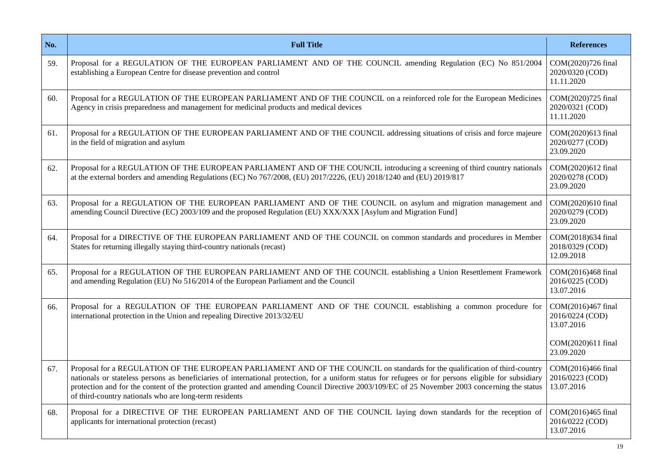| No. | <b>Full Title</b>                                                                                                                                                                                                                                                                                                                                                                                                                                                                               |                                                     |
|-----|-------------------------------------------------------------------------------------------------------------------------------------------------------------------------------------------------------------------------------------------------------------------------------------------------------------------------------------------------------------------------------------------------------------------------------------------------------------------------------------------------|-----------------------------------------------------|
| 59. | Proposal for a REGULATION OF THE EUROPEAN PARLIAMENT AND OF THE COUNCIL amending Regulation (EC) No 851/2004<br>establishing a European Centre for disease prevention and control                                                                                                                                                                                                                                                                                                               | COM(2020)726 final<br>2020/0320 (COD)<br>11.11.2020 |
| 60. | Proposal for a REGULATION OF THE EUROPEAN PARLIAMENT AND OF THE COUNCIL on a reinforced role for the European Medicines<br>Agency in crisis preparedness and management for medicinal products and medical devices                                                                                                                                                                                                                                                                              |                                                     |
| 61. | Proposal for a REGULATION OF THE EUROPEAN PARLIAMENT AND OF THE COUNCIL addressing situations of crisis and force majeure<br>in the field of migration and asylum                                                                                                                                                                                                                                                                                                                               |                                                     |
| 62. | Proposal for a REGULATION OF THE EUROPEAN PARLIAMENT AND OF THE COUNCIL introducing a screening of third country nationals<br>at the external borders and amending Regulations (EC) No 767/2008, (EU) 2017/2226, (EU) 2018/1240 and (EU) 2019/817                                                                                                                                                                                                                                               | COM(2020)612 final<br>2020/0278 (COD)<br>23.09.2020 |
| 63. | Proposal for a REGULATION OF THE EUROPEAN PARLIAMENT AND OF THE COUNCIL on asylum and migration management and<br>amending Council Directive (EC) 2003/109 and the proposed Regulation (EU) XXX/XXX [Asylum and Migration Fund]                                                                                                                                                                                                                                                                 |                                                     |
| 64. | Proposal for a DIRECTIVE OF THE EUROPEAN PARLIAMENT AND OF THE COUNCIL on common standards and procedures in Member<br>States for returning illegally staying third-country nationals (recast)                                                                                                                                                                                                                                                                                                  |                                                     |
| 65. | Proposal for a REGULATION OF THE EUROPEAN PARLIAMENT AND OF THE COUNCIL establishing a Union Resettlement Framework<br>and amending Regulation (EU) No 516/2014 of the European Parliament and the Council                                                                                                                                                                                                                                                                                      |                                                     |
| 66. | Proposal for a REGULATION OF THE EUROPEAN PARLIAMENT AND OF THE COUNCIL establishing a common procedure for<br>international protection in the Union and repealing Directive 2013/32/EU                                                                                                                                                                                                                                                                                                         | COM(2016)467 final<br>2016/0224 (COD)<br>13.07.2016 |
|     |                                                                                                                                                                                                                                                                                                                                                                                                                                                                                                 | COM(2020)611 final<br>23.09.2020                    |
| 67. | Proposal for a REGULATION OF THE EUROPEAN PARLIAMENT AND OF THE COUNCIL on standards for the qualification of third-country<br>nationals or stateless persons as beneficiaries of international protection, for a uniform status for refugees or for persons eligible for subsidiary<br>protection and for the content of the protection granted and amending Council Directive 2003/109/EC of 25 November 2003 concerning the status<br>of third-country nationals who are long-term residents | COM(2016)466 final<br>2016/0223 (COD)<br>13.07.2016 |
| 68. | Proposal for a DIRECTIVE OF THE EUROPEAN PARLIAMENT AND OF THE COUNCIL laying down standards for the reception of<br>applicants for international protection (recast)                                                                                                                                                                                                                                                                                                                           | COM(2016)465 final<br>2016/0222 (COD)<br>13.07.2016 |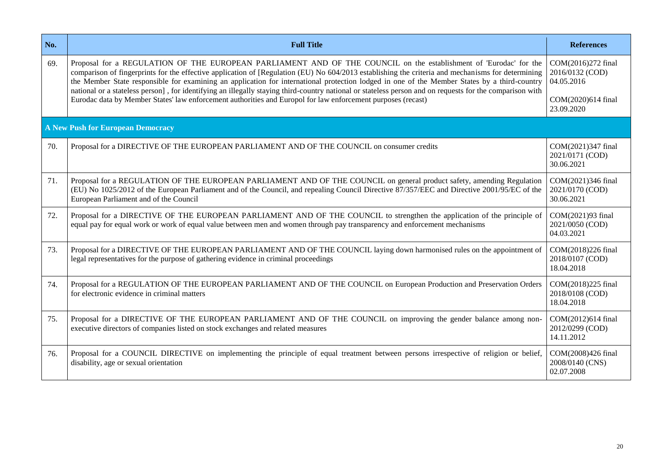| No. | <b>Full Title</b>                                                                                                                                                                                                                                                                                                                                                                                                                                                                                                                                                                  | <b>References</b>                                   |
|-----|------------------------------------------------------------------------------------------------------------------------------------------------------------------------------------------------------------------------------------------------------------------------------------------------------------------------------------------------------------------------------------------------------------------------------------------------------------------------------------------------------------------------------------------------------------------------------------|-----------------------------------------------------|
| 69. | Proposal for a REGULATION OF THE EUROPEAN PARLIAMENT AND OF THE COUNCIL on the establishment of 'Eurodac' for the<br>comparison of fingerprints for the effective application of [Regulation (EU) No 604/2013 establishing the criteria and mechanisms for determining<br>the Member State responsible for examining an application for international protection lodged in one of the Member States by a third-country<br>national or a stateless person], for identifying an illegally staying third-country national or stateless person and on requests for the comparison with |                                                     |
|     | Eurodac data by Member States' law enforcement authorities and Europol for law enforcement purposes (recast)                                                                                                                                                                                                                                                                                                                                                                                                                                                                       | COM(2020)614 final<br>23.09.2020                    |
|     | <b>A New Push for European Democracy</b>                                                                                                                                                                                                                                                                                                                                                                                                                                                                                                                                           |                                                     |
| 70. | Proposal for a DIRECTIVE OF THE EUROPEAN PARLIAMENT AND OF THE COUNCIL on consumer credits                                                                                                                                                                                                                                                                                                                                                                                                                                                                                         | COM(2021)347 final<br>2021/0171 (COD)<br>30.06.2021 |
| 71. | Proposal for a REGULATION OF THE EUROPEAN PARLIAMENT AND OF THE COUNCIL on general product safety, amending Regulation<br>(EU) No 1025/2012 of the European Parliament and of the Council, and repealing Council Directive 87/357/EEC and Directive 2001/95/EC of the<br>European Parliament and of the Council                                                                                                                                                                                                                                                                    |                                                     |
| 72. | Proposal for a DIRECTIVE OF THE EUROPEAN PARLIAMENT AND OF THE COUNCIL to strengthen the application of the principle of<br>equal pay for equal work or work of equal value between men and women through pay transparency and enforcement mechanisms                                                                                                                                                                                                                                                                                                                              | COM(2021)93 final<br>2021/0050 (COD)<br>04.03.2021  |
| 73. | Proposal for a DIRECTIVE OF THE EUROPEAN PARLIAMENT AND OF THE COUNCIL laying down harmonised rules on the appointment of<br>legal representatives for the purpose of gathering evidence in criminal proceedings                                                                                                                                                                                                                                                                                                                                                                   | COM(2018)226 final<br>2018/0107 (COD)<br>18.04.2018 |
| 74. | Proposal for a REGULATION OF THE EUROPEAN PARLIAMENT AND OF THE COUNCIL on European Production and Preservation Orders<br>for electronic evidence in criminal matters                                                                                                                                                                                                                                                                                                                                                                                                              | COM(2018)225 final<br>2018/0108 (COD)<br>18.04.2018 |
| 75. | Proposal for a DIRECTIVE OF THE EUROPEAN PARLIAMENT AND OF THE COUNCIL on improving the gender balance among non-<br>executive directors of companies listed on stock exchanges and related measures                                                                                                                                                                                                                                                                                                                                                                               | COM(2012)614 final<br>2012/0299 (COD)<br>14.11.2012 |
| 76. | Proposal for a COUNCIL DIRECTIVE on implementing the principle of equal treatment between persons irrespective of religion or belief,<br>disability, age or sexual orientation                                                                                                                                                                                                                                                                                                                                                                                                     | COM(2008)426 final<br>2008/0140 (CNS)<br>02.07.2008 |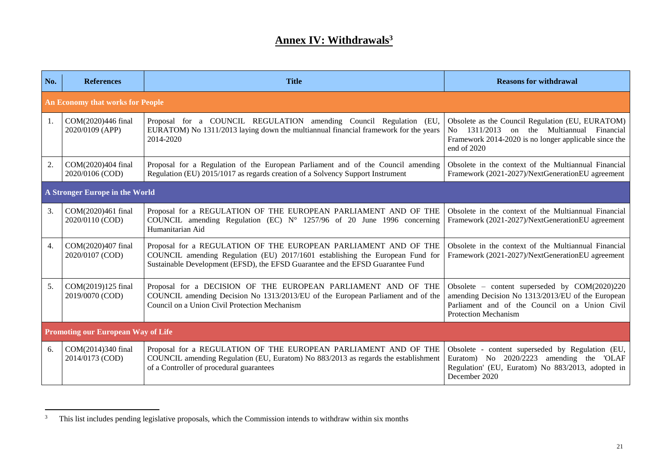# **Annex IV: Withdrawals<sup>3</sup>**

| No. | <b>References</b>                         | <b>Title</b>                                                                                                                                                                                                                       | <b>Reasons for withdrawal</b>                                                                                                                                                         |  |
|-----|-------------------------------------------|------------------------------------------------------------------------------------------------------------------------------------------------------------------------------------------------------------------------------------|---------------------------------------------------------------------------------------------------------------------------------------------------------------------------------------|--|
|     | An Economy that works for People          |                                                                                                                                                                                                                                    |                                                                                                                                                                                       |  |
| 1.  | COM(2020)446 final<br>2020/0109 (APP)     | Proposal for a COUNCIL REGULATION amending Council Regulation (EU,<br>EURATOM) No 1311/2013 laying down the multiannual financial framework for the years<br>2014-2020                                                             | Obsolete as the Council Regulation (EU, EURATOM)<br>No 1311/2013<br>on the Multiannual<br>Financial<br>Framework 2014-2020 is no longer applicable since the<br>end of 2020           |  |
| 2.  | COM(2020)404 final<br>2020/0106 (COD)     | Proposal for a Regulation of the European Parliament and of the Council amending<br>Regulation (EU) 2015/1017 as regards creation of a Solvency Support Instrument                                                                 | Obsolete in the context of the Multiannual Financial<br>Framework (2021-2027)/NextGenerationEU agreement                                                                              |  |
|     | A Stronger Europe in the World            |                                                                                                                                                                                                                                    |                                                                                                                                                                                       |  |
| 3.  | COM(2020)461 final<br>2020/0110 (COD)     | Proposal for a REGULATION OF THE EUROPEAN PARLIAMENT AND OF THE<br>COUNCIL amending Regulation (EC) $N^{\circ}$ 1257/96 of 20 June 1996 concerning<br>Humanitarian Aid                                                             | Obsolete in the context of the Multiannual Financial<br>Framework (2021-2027)/NextGenerationEU agreement                                                                              |  |
| 4.  | COM(2020)407 final<br>2020/0107 (COD)     | Proposal for a REGULATION OF THE EUROPEAN PARLIAMENT AND OF THE<br>COUNCIL amending Regulation (EU) 2017/1601 establishing the European Fund for<br>Sustainable Development (EFSD), the EFSD Guarantee and the EFSD Guarantee Fund | Obsolete in the context of the Multiannual Financial<br>Framework (2021-2027)/NextGenerationEU agreement                                                                              |  |
| 5.  | COM(2019)125 final<br>2019/0070 (COD)     | Proposal for a DECISION OF THE EUROPEAN PARLIAMENT AND OF THE<br>COUNCIL amending Decision No 1313/2013/EU of the European Parliament and of the<br>Council on a Union Civil Protection Mechanism                                  | Obsolete – content superseded by $COM(2020)220$<br>amending Decision No 1313/2013/EU of the European<br>Parliament and of the Council on a Union Civil<br><b>Protection Mechanism</b> |  |
|     | <b>Promoting our European Way of Life</b> |                                                                                                                                                                                                                                    |                                                                                                                                                                                       |  |
| 6.  | COM(2014)340 final<br>2014/0173 (COD)     | Proposal for a REGULATION OF THE EUROPEAN PARLIAMENT AND OF THE<br>COUNCIL amending Regulation (EU, Euratom) No 883/2013 as regards the establishment<br>of a Controller of procedural guarantees                                  | Obsolete - content superseded by Regulation (EU,<br>Euratom) No 2020/2223<br>amending the<br>'OLAF<br>Regulation' (EU, Euratom) No 883/2013, adopted in<br>December 2020              |  |

 $\overline{3}$ This list includes pending legislative proposals, which the Commission intends to withdraw within six months